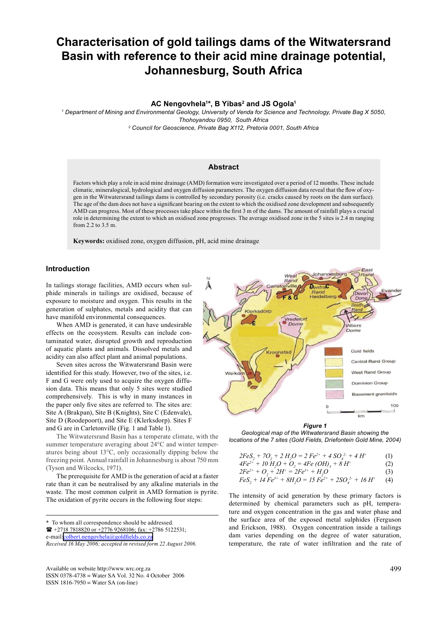# **Characterisation of gold tailings dams of the Witwatersrand Basin with reference to their acid mine drainage potential, Johannesburg, South Africa**

## **AC Nengovhela1 \*, B Yibas2 and JS Ogola1**

*1 Department of Mining and Environmental Geology, University of Venda for Science and Technology, Private Bag X 5050, Thohoyandou 0950, South Africa 2 Council for Geoscience, Private Bag X112, Pretoria 0001, South Africa*

#### **Abstract**

Factors which play a role in acid mine drainage (AMD) formation were investigated over a period of 12 months. These include climatic, mineralogical, hydrological and oxygen diffusion parameters. The oxygen diffusion data reveal that the flow of oxygen in the Witwatersrand tailings dams is controlled by secondary porosity (i.e. cracks caused by roots on the dam surface). The age of the dam does not have a significant bearing on the extent to which the oxidised zone development and subsequently AMD can progress. Most of these processes take place within the first 3 m of the dams. The amount of rainfall plays a crucial role in determining the extent to which an oxidised zone progresses. The average oxidised zone in the 5 sites is 2.4 m ranging from 2.2 to 3.5 m.

**Keywords:** oxidised zone, oxygen diffusion, pH, acid mine drainage

### **Introduction**

In tailings storage facilities, AMD occurs when sulphide minerals in tailings are oxidised, because of exposure to moisture and oxygen. This results in the generation of sulphates, metals and acidity that can have manifold environmental consequences.

 When AMD is generated, it can have undesirable effects on the ecosystem. Results can include contaminated water, disrupted growth and reproduction of aquatic plants and animals. Dissolved metals and acidity can also affect plant and animal populations.

 Seven sites across the Witwatersrand Basin were identified for this study. However, two of the sites, i.e. F and G were only used to acquire the oxygen diffusion data. This means that only 5 sites were studied comprehensively. This is why in many instances in the paper only five sites are referred to. The sites are: Site A (Brakpan), Site B (Knights), Site C (Edenvale), Site D (Roodepoort), and Site E (Klerksdorp). Sites F and G are in Carletonville (Fig. 1 and Table 1).

The Witwatersrand Basin has a temperate climate, with the summer temperature averaging about 24°C and winter temperatures being about 13°C, only occasionally dipping below the freezing point. Annual rainfall in Johannesburg is about 750 mm (Tyson and Wilcocks, 1971).

 The prerequisite for AMD is the generation of acid at a faster rate than it can be neutralised by any alkaline materials in the waste. The most common culprit in AMD formation is pyrite. The oxidation of pyrite occurs in the following four steps:

\* To whom all correspondence should be addressed.  $\hat{=}$  +2718 7818820 or +2776 9268106; fax: +2786 5122531; e-mail:[colbert.nengovhela@goldfields.co.za](mailto:colbert.nengovhela@goldfields.co.za)

*Received 16 May 2006; accepted in revised form 22 August 2006.* 

Available on website http://www.wrc.org.za ISSN 0378-4738 = Water SA Vol. 32 No. 4 October 2006 ISSN 1816-7950 = Water SA (on-line)





*Geological map of the Witwatersrand Basin showing the locations of the 7 sites (Gold Fields, Driefontein Gold Mine, 2004)*

$$
2FeS_2 + 7O_2 + 2H_2O = 2Fe^{2+} + 4SO_4^{2-} + 4H^+ \tag{1}
$$

$$
4Fe^{2+} + 10H_2O + O_2 = 4Fe(OH)_3 + 8H^+ \tag{2}
$$

$$
2Fe^{2+} + O_2 + 2H^+ = 2Fe^{3+} + H_2O
$$
\n
$$
F_1 G_1 + 14F_2 G_1 + 24H_2 G_2 + 24H_2 G_3 + 16H_2 G_3
$$
\n(3)

$$
FeS_2 + 14 Fe^{3+} + 8H_2O = 15 Fe^{2+} + 2SO_4^{2-} + 16 H^+ \tag{4}
$$

The intensity of acid generation by these primary factors is determined by chemical parameters such as pH, temperature and oxygen concentration in the gas and water phase and the surface area of the exposed metal sulphides (Ferguson and Erickson, 1988). Oxygen concentration inside a tailings dam varies depending on the degree of water saturation, temperature, the rate of water infiltration and the rate of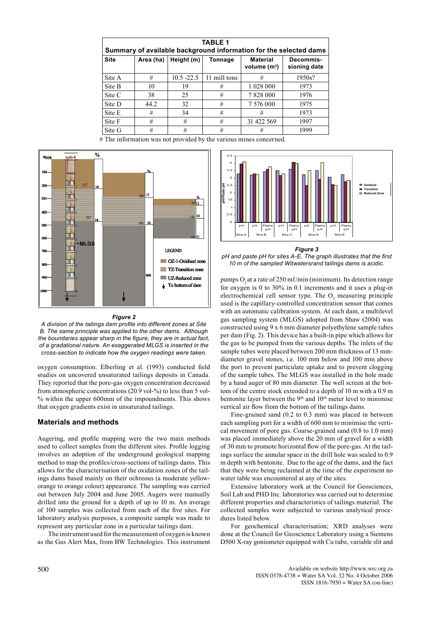| <b>TABLE 1</b><br>Summary of available background information for the selected dams |           |               |              |                                   |                           |  |  |  |  |  |  |
|-------------------------------------------------------------------------------------|-----------|---------------|--------------|-----------------------------------|---------------------------|--|--|--|--|--|--|
| <b>Site</b>                                                                         | Area (ha) | Height (m)    | Tonnage      | <b>Material</b><br>volume $(m^3)$ | Decommis-<br>sioning date |  |  |  |  |  |  |
| Site A                                                                              | #         | $10.5 - 22.5$ | 11 mill tons | #                                 | 1950s?                    |  |  |  |  |  |  |
| Site B                                                                              | 10        | 19            | #            | 1 028 000                         | 1973                      |  |  |  |  |  |  |
| Site C                                                                              | 38        | 25            | #            | 7828000                           | 1976                      |  |  |  |  |  |  |
| Site D                                                                              | 44.2      | 32            | #            | 7 576 000                         | 1975                      |  |  |  |  |  |  |
| Site E                                                                              | #         | 34            | #            | #                                 | 1973                      |  |  |  |  |  |  |
| Site F                                                                              | #         | #             | #            | 31 422 569                        | 1997                      |  |  |  |  |  |  |
| Site G                                                                              | #         | #             | #            | #                                 | 1999                      |  |  |  |  |  |  |

# The information was not provided by the various mines concerned.



#### *Figure 2*

*A division of the tailings dam profile into different zones at Site B. The same principle was applied to the other dams. Although the boundaries appear sharp in the figure, they are in actual fact, of a gradational nature. An exaggerated MLGS is inserted in the cross-section to indicate how the oxygen readings were taken.*

oxygen consumption. Elberling et al. (1993) conducted field studies on uncovered unsaturated tailings deposits in Canada. They reported that the pore-gas oxygen concentration decreased from atmospheric concentrations (20.9 vol-%) to less than 5 vol- % within the upper 600mm of the impoundments. This shows that oxygen gradients exist in unsaturated tailings.

#### **Materials and methods**

Augering, and profile mapping were the two main methods used to collect samples from the different sites. Profile logging involves an adoption of the underground geological mapping method to map the profiles/cross-sections of tailings dams. This allows for the characterisation of the oxidation zones of the tailings dams based mainly on their ochreous (a moderate yelloworange to orange colour) appearance. The sampling was carried out between July 2004 and June 2005. Augers were manually drilled into the ground for a depth of up to 10 m. An average of 100 samples was collected from each of the five sites. For laboratory analysis purposes, a composite sample was made to represent any particular zone in a particular tailings dam.

 The instrument used for the measurement of oxygen is known as the Gas Alert Max, from BW Technologies. This instrument



*Figure 3 pH and paste pH for sites A-E. The graph illustrates that the first 10 m of the sampled Witwatersrand tailings dams is acidic.*

pumps  $O<sub>s</sub>$  at a rate of 250 m $\ell$ /min (minimum). Its detection range for oxygen is 0 to 30% in 0.1 increments and it uses a plug-in electrochemical cell sensor type. The  $O_2$  measuring principle used is the capillary-controlled concentration sensor that comes with an automatic calibration system. At each dam, a multilevel gas sampling system (MLGS) adopted from Shaw (2004) was constructed using 9 x 6 mm diameter polyethylene sample tubes per dam (Fig. 2). This device has a built-in pipe which allows for the gas to be pumped from the various depths. The inlets of the sample tubes were placed between 200 mm thickness of 13 mmdiameter gravel stones, i.e. 100 mm below and 100 mm above the port to prevent particulate uptake and to prevent clogging of the sample tubes. The MLGS was installed in the hole made by a hand auger of 80 mm diameter. The well screen at the bottom of the centre stock extended to a depth of 10 m with a 0.9 m bentonite layer between the 9<sup>th</sup> and 10<sup>th</sup> meter level to minimise vertical air flow from the bottom of the tailings dams.

 Fine-grained sand (0.2 to 0.3 mm) was placed in between each sampling port for a width of 600 mm to minimise the vertical movement of pore gas. Coarse-grained sand (0.8 to 1.0 mm) was placed immediately above the 20 mm of gravel for a width of 30 mm to promote horizontal flow of the pore-gas. At the tailings surface the annular space in the drill hole was sealed to 0.9 m depth with bentonite. Due to the age of the dams, and the fact that they were being reclaimed at the time of the experiment no water table was encountered at any of the sites.

 Extensive laboratory work at the Council for Geosciences, Soil Lab and PHD Inc. laboratories was carried out to determine different properties and characteristics of tailings material. The collected samples were subjected to various analytical procedures listed below.

 For geochemical characterisation; XRD analyses were done at the Council for Geoscience Laboratory using a Siemens D500 X-ray goniometer equipped with Cu tube, variable slit and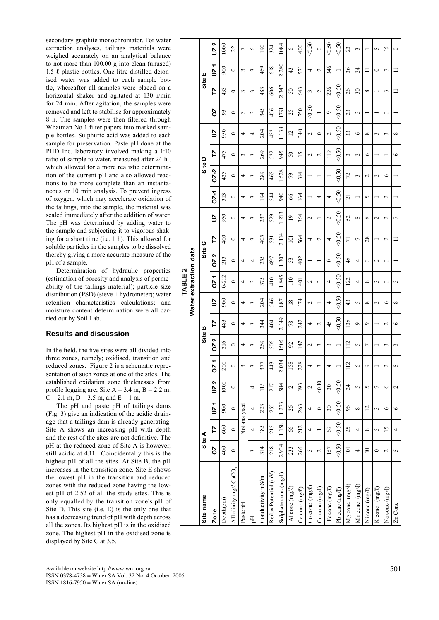secondary graphite monochromator. For water extraction analyses, tailings materials were weighed accurately on an analytical balance to not more than 100.00 g into clean (unused) 1.5  $\ell$  plastic bottles. One litre distilled deionised water was added to each sample bot tle, whereafter all samples were placed on a horizontal shaker and agitated at 130 r/min for 24 min. After agitation, the samples were removed and left to stabilise for approximately 8 h. The samples were then filtered through Whatman No 1 filter papers into marked sam ple bottles. Sulphuric acid was added to each sample for preservation. Paste pH done at the PHD Inc. laboratory involved making a 1:10 ratio of sample to water, measured after 24 h , which allowed for a more realistic determina tion of the current pH and also allowed reac tions to be more complete than an instanta neous or 10 min analysis. To prevent ingress of oxygen, which may accelerate oxidation of the tailings, into the sample, the material was sealed immediately after the addition of water. The pH was determined by adding water to the sample and subjecting it to vigorous shaking for a short time (i.e. 1 h). This allowed for soluble particles in the samples to be dissolved thereby giving a more accurate measure of the pH of a sample.

 Determination of hydraulic properties (estimation of porosity and analysis of perme ability of the tailings material); particle size distribution (PSD) (sieve + hydrometer); water retention characteristics calculations; and moisture content determination were all carried out by Soil Lab.

## **Results and discussion**

In the field, the five sites were all divided into three zones, namely; oxidised, transition and reduced zones. Figure 2 is a schematic repre sentation of such zones at one of the sites. The established oxidation zone thicknesses from profile logging are; Site  $A = 3.4$  m,  $B = 2.2$  m,  $C = 2.1$  m,  $D = 3.5$  m, and  $E = 1$  m.

The pH and paste pH of tailings dams (Fig. 3) give an indication of the acidic drain age that a tailings dam is already generating. Site A shows an increasing pH with depth and the rest of the sites are not definitive. The pH at the reduced zone of Site A is however, still acidic at 4.11. Coincidentally this is the highest pH of all the sites. At Site B, the pH increases in the transition zone. Site E shows the lowest pH in the transition and reduced zones with the reduced zone having the low est pH of 2.52 of all the study sites. This is only equalled by the transition zone's pH of Site D. This site (i.e. E) is the only one that has a decreasing trend of pH with depth across all the zones. Its highest pH is in the oxidised zone. The highest pH in the oxidised zone is displayed by Site C at 3.5 .

| Available on website http://www.wrc.org.za           |  |
|------------------------------------------------------|--|
| ISSN 0378-4738 = Water SA Vol. 32 No. 4 October 2006 |  |
| ISSN $1816-7950$ = Water SA (on-line)                |  |

| ш<br>Site I                                | 2<br>Š | 1000           | 22                    | $\overline{a}$        | $\bullet$    | 190        | 324               | 1084                 | $\bullet$            | 400                      | <0.50                            | $\circ$             | 0.50                             | <0.50                    | 23                  | 3                  |                  | $\sim$          | $\overline{5}$           | $\bullet$              |                |
|--------------------------------------------|--------|----------------|-----------------------|-----------------------|--------------|------------|-------------------|----------------------|----------------------|--------------------------|----------------------------------|---------------------|----------------------------------|--------------------------|---------------------|--------------------|------------------|-----------------|--------------------------|------------------------|----------------|
|                                            |        | $\overline{5}$ | 900                   | $\circ$               | 3            | 3          | 469               | 618                  | 2280                 | 43                       | 571                              | 4                   | $\mathbf{\Omega}$                | 346                      |                     | 36                 | $\overline{24}$  | $\equiv$        | $\circ$                  | $\overline{a}$         | $\equiv$       |
|                                            |        | 21             | 433                   | 0                     | 3            | 3          | 483               | 606                  | 2347                 | $50\,$                   | 643                              | 3                   | $\mathbf{\Omega}$                | 226                      | <0.50               | 26                 | $30\,$           | $\infty$        |                          | 3                      | $\equiv$       |
|                                            |        | 2O             | 93                    | $\circ$               | 3            | 3          | 345               | 456                  | 1791                 | 25                       | 750                              | 0.50                |                                  | Ó                        | < 0.50              | 23                 | 3                |                 |                          | 3                      |                |
|                                            |        | N              | 950                   | $\circ$               | 4            | 4          | 204               | 452                  | 1138                 | $\overline{2}$           | 340                              | $\mathcal{L}$       | $\circ$                          | $\overline{\mathcal{L}}$ | 0.50                | 33                 | $\circ$          | $\infty$        | 3                        | $\epsilon$             | ${}^{\circ}$   |
|                                            |        | 21             | 475                   | $\circ$               | 3            | $\epsilon$ | 269               | 522                  | 945                  | $50\,$                   | $\overline{15}$                  | $\mathbf{\sim}$     | $\mathbf{\Omega}$                | 119                      | 0.50                | 3                  | $\mathbf{\sim}$  | $\bullet$       |                          |                        | $\bullet$      |
|                                            | Site D | 0Z-2           | 425                   | $\circ$               | 4            | 3          | 289               | 465                  | 1528                 | 56                       | 314                              |                     |                                  |                          | 0.50                | 72                 | 3                | $\mathbf{\sim}$ | $\overline{\mathcal{C}}$ | $\bullet$              |                |
|                                            |        | 0Z-1           | 313                   | 0                     | 4            | 3          | 194               | 544                  | 940                  | 66                       | 164                              |                     | 4                                | 4                        | < 0.50              | Z                  |                  | 5               |                          | $\mathbf{\sim}$        |                |
|                                            |        | Ŋ              | 950                   | $\circ$               | 4            | 3          | 237               | 529                  | 1213                 | $\overline{19}$          | 364                              | 2                   |                                  | Z                        | 0.50                | 52                 | ${}^{\circ}$     | $\infty$        | $\mathbf{\sim}$          | $\mathbf{\sim}$        | $\overline{ }$ |
| Site C<br>Water extraction data<br>TABLE 2 |        | 72             | 400                   | $\circ$               | 4            | 3          | 405               | 531                  | 2 114                | 101                      | 564                              | 4                   | $\sim$                           | 4                        | 0.50                | $\overline{7}$     | Γ                | 28              |                          | $\mathbf{\mathcal{L}}$ | $\equiv$       |
|                                            |        | 0Z2            | 213                   | $\circ$               | 4            | 4          | 255               | 497                  | 1307                 | 53                       | 402                              |                     |                                  | 0                        | 0.50                | 48                 | 4                | $\sim$          | $\sim$                   | 3                      |                |
|                                            |        | ᡪ<br>ð         | $0 - 212$             | $\circ$               | 4            | $\epsilon$ | 375               | 410                  | 1845                 | 110                      | $\overline{40}$                  | $\mathcal{L}$       | 3                                | 4                        | 0.50                | 122                | 4                | $\infty$        | $\epsilon$               | 3                      | 3              |
|                                            |        | Ŋ              | 900                   | $\circ$               | 4            | 3          | 204               | 546                  | 887                  | $\overline{18}$          | 174                              | $\mathbf{\sim}$     |                                  | 4                        | 0.50                | 43                 | 5                | $\infty$        | $\mathbf{\sim}$          | ৩                      | $\infty$       |
|                                            |        | 72             | 483                   | $\circ$               | 4            | 3          | 344               | 404                  | 2149                 | 78                       | 242                              | 4                   | $\mathbf{\sim}$                  | 45                       | 0.50                | 138                | Ó                | ç               |                          | $\mathbf{\sim}$        | $\bullet$      |
|                                            | Site B | ີ<br>ð         | 216                   | $\circ$               | 4            | 3          | 269               | 506                  | 1505                 | $\mathcal{S}$            | 147                              | $\mathbf{\sim}$     | 3                                | 3                        |                     | 112                | 5                | 7               |                          | 3                      | 3              |
|                                            |        | ٣<br>ð         | 200                   | 0                     |              |            | 377               | 443                  | 34<br>$\frac{0}{2}$  | 58                       | 228                              | 4                   | 3                                | 4                        |                     | $\mathbf{\sim}$    | 6                | ¢               |                          | $\sim$                 | $\sigma$       |
|                                            |        | UZ 2           | 1000                  | $\circ$               |              | 4          | 115               | 217                  | 584                  | $\overline{\mathcal{L}}$ | 193                              | $\mathbf{\sim}$     | 0.10                             | $30\,$                   | 0.50                | 24                 | 5                | 5               | $\overline{ }$           | ৩                      | 2              |
| Site A<br>Site name                        |        | UZ 1           | 900                   | $\circ$               |              | 4          | 223               | 255                  | 1273                 | 26                       | 263                              | 4                   | $\circ$                          | 30                       | 0.50                | 96                 | $\infty$         | $\overline{12}$ | 3                        | $\bullet$              | $\bullet$      |
|                                            |        | 72             | 600                   | $\circ$               | Not analysed | 4          | 185               | 215                  | 1158                 | $\frac{8}{5}$            | 212                              | 4                   |                                  | $\mathcal{S}$            | 0.50                | 25                 | 4                | $\infty$        | 5                        | 15                     | 4              |
|                                            |        | ð              | 400                   | $\circ$               |              | 3          | 314               | 218                  | 2934                 | 233                      | 265                              | 5                   | $\mathbf{\Omega}$                | 157                      | 0.50                | 101                | 4                | $\approx$       | $\circ$                  | $\mathbf{\Omega}$      | 5              |
|                                            |        | Zone           | Depth <sub>(cm)</sub> | Alkalinity mg/l CaCO, | Paste pH     | Flq        | Conductivity mS/m | Redox Potential (mV) | Sulphate conc (mg/l) | Al conc (mg/l)           | $Ca \text{ cone } (\text{mg}/l)$ | $C_0$ conc $(mg/l)$ | $Cu \text{ cone } (\text{mg}/l)$ | Fe conc (mg/l)           | Pb conc $(mg/\ell)$ | $Mg$ conc $(mg/l)$ | Mn conc $(mg/l)$ | Ni conc (mg/l)  | K conc $(mg/l)$          | Na conc (mg/l)         | Zn Conc        |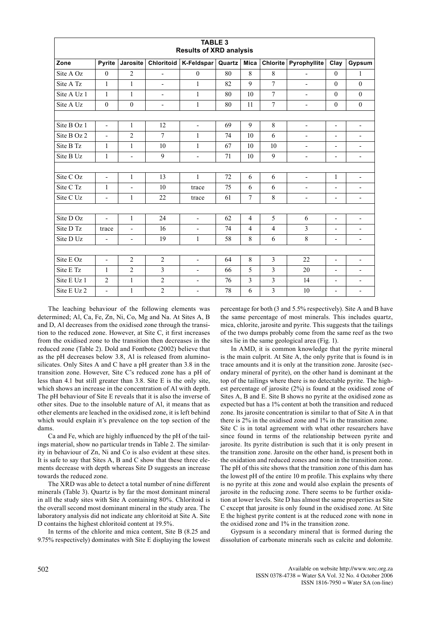| <b>TABLE 3</b><br><b>Results of XRD analysis</b> |                          |                              |                          |                          |        |                |                |                          |                          |                          |  |  |  |
|--------------------------------------------------|--------------------------|------------------------------|--------------------------|--------------------------|--------|----------------|----------------|--------------------------|--------------------------|--------------------------|--|--|--|
| Zone                                             | Pyrite                   | Jarosite                     | Chloritoid               | $K$ -Feldspar            | Quartz | Mica           | Chlorite       | Pyrophyllite             | Clay                     | Gypsum                   |  |  |  |
| Site A Oz                                        | $\mathbf{0}$             | $\overline{2}$               | $\blacksquare$           | $\mathbf{0}$             | 80     | 8              | 8              | $\overline{\phantom{0}}$ | $\mathbf{0}$             | 1                        |  |  |  |
| Site A Tz                                        | $\mathbf{1}$             | $\mathbf{1}$                 | $\overline{\phantom{0}}$ | $\mathbf{1}$             | 82     | 9              | $\overline{7}$ | $\overline{a}$           | $\mathbf{0}$             | $\mathbf{0}$             |  |  |  |
| Site A Uz 1                                      | $\mathbf{1}$             | $\mathbf{1}$                 | $\overline{\phantom{a}}$ | 1                        | 80     | 10             | $\tau$         | $\overline{\phantom{a}}$ | $\theta$                 | $\mathbf{0}$             |  |  |  |
| Site A Uz                                        | $\mathbf{0}$             | $\boldsymbol{0}$             | $\overline{\phantom{a}}$ | $\mathbf{1}$             | 80     | 11             | $\tau$         | $\overline{\phantom{a}}$ | $\mathbf{0}$             | $\boldsymbol{0}$         |  |  |  |
|                                                  |                          |                              |                          |                          |        |                |                |                          |                          |                          |  |  |  |
| Site B Oz 1                                      | $\overline{\phantom{a}}$ | $\mathbf{1}$                 | 12                       | $\overline{a}$           | 69     | 9              | $\,8\,$        | $\overline{\phantom{a}}$ | $\overline{\phantom{a}}$ | $\blacksquare$           |  |  |  |
| Site B Oz 2                                      | $\overline{\phantom{a}}$ | $\overline{2}$               | $\overline{7}$           | $\mathbf{1}$             | 74     | 10             | 6              | $\overline{\phantom{0}}$ | $\overline{\phantom{a}}$ | $\overline{\phantom{a}}$ |  |  |  |
| Site B Tz                                        | 1                        | $\mathbf{1}$                 | 10                       | 1                        | 67     | 10             | 10             | $\overline{\phantom{a}}$ | $\overline{\phantom{a}}$ | $\overline{\phantom{a}}$ |  |  |  |
| Site B Uz                                        | 1                        | $\overline{\phantom{a}}$     | 9                        | $\overline{\phantom{0}}$ | 71     | 10             | 9              | -                        | $\overline{\phantom{a}}$ | $\overline{\phantom{a}}$ |  |  |  |
|                                                  |                          |                              |                          |                          |        |                |                |                          |                          |                          |  |  |  |
| Site COz                                         | $\overline{\phantom{a}}$ | $\mathbf{1}$                 | 13                       | $\mathbf{1}$             | 72     | 6              | 6              | $\overline{\phantom{0}}$ | $\mathbf{1}$             | $\overline{\phantom{0}}$ |  |  |  |
| Site C Tz                                        | $\mathbf{1}$             | $\blacksquare$               | 10                       | trace                    | 75     | 6              | 6              | $\overline{\phantom{0}}$ | $\overline{\phantom{a}}$ | $\overline{a}$           |  |  |  |
| Site C Uz                                        | $\blacksquare$           | $\mathbf{1}$                 | 22                       | trace                    | 61     | $\tau$         | 8              | $\overline{\phantom{0}}$ | $\overline{\phantom{a}}$ | $\blacksquare$           |  |  |  |
|                                                  |                          |                              |                          |                          |        |                |                |                          |                          |                          |  |  |  |
| Site D Oz                                        | $\blacksquare$           | 1                            | 24                       | $\overline{\phantom{m}}$ | 62     | $\overline{4}$ | 5              | 6                        | $\overline{\phantom{a}}$ | $\blacksquare$           |  |  |  |
| Site D Tz                                        | trace                    | $\overline{\phantom{a}}$     | 16                       | $\overline{\phantom{m}}$ | 74     | $\overline{4}$ | $\overline{4}$ | 3                        | $\overline{\phantom{a}}$ | $\blacksquare$           |  |  |  |
| Site D Uz                                        | $\overline{\phantom{a}}$ | $\qquad \qquad \blacksquare$ | 19                       | 1                        | 58     | 8              | 6              | 8                        | $\overline{\phantom{a}}$ | $\overline{\phantom{a}}$ |  |  |  |
|                                                  |                          |                              |                          |                          |        |                |                |                          |                          |                          |  |  |  |
| Site E Oz                                        | $\overline{\phantom{a}}$ | $\overline{2}$               | $\overline{2}$           | $\overline{\phantom{m}}$ | 64     | 8              | 3              | 22                       | $\blacksquare$           | $\blacksquare$           |  |  |  |
| Site E Tz                                        | $\mathbf{1}$             | $\overline{c}$               | 3                        | $\overline{a}$           | 66     | 5              | 3              | 20                       | $\blacksquare$           | $\overline{\phantom{a}}$ |  |  |  |
| Site E Uz 1                                      | 2                        | $\mathbf{1}$                 | $\overline{2}$           | $\overline{a}$           | 76     | 3              | $\overline{3}$ | 14                       | $\blacksquare$           | $\blacksquare$           |  |  |  |
| Site E Uz 2                                      | $\blacksquare$           | $\mathbf{1}$                 | $\overline{2}$           |                          | 78     | 6              | 3              | 10                       | $\overline{a}$           |                          |  |  |  |

 The leaching behaviour of the following elements was determined; Al, Ca, Fe, Zn, Ni, Co, Mg and Na. At Sites A, B and D, Al decreases from the oxidised zone through the transition to the reduced zone. However, at Site C, it first increases from the oxidised zone to the transition then decreases in the reduced zone (Table 2). Dold and Fontbote (2002) believe that as the pH decreases below 3.8, Al is released from aluminosilicates. Only Sites A and C have a pH greater than 3.8 in the transition zone. However, Site C's reduced zone has a pH of less than 4.1 but still greater than 3.8. Site E is the only site, which shows an increase in the concentration of Al with depth. The pH behaviour of Site E reveals that it is also the inverse of other sites. Due to the insoluble nature of Al, it means that as other elements are leached in the oxidised zone, it is left behind which would explain it's prevalence on the top section of the dams.

 Ca and Fe, which are highly influenced by the pH of the tailings material, show no particular trends in Table 2. The similarity in behaviour of Zn, Ni and Co is also evident at these sites. It is safe to say that Sites A, B and C show that these three elements decrease with depth whereas Site D suggests an increase towards the reduced zone.

 The XRD was able to detect a total number of nine different minerals (Table 3). Quartz is by far the most dominant mineral in all the study sites with Site A containing 80%. Chloritoid is the overall second most dominant mineral in the study area. The laboratory analysis did not indicate any chloritoid at Site A. Site D contains the highest chloritoid content at 19.5%.

 In terms of the chlorite and mica content, Site B (8.25 and 9.75% respectively) dominates with Site E displaying the lowest percentage for both (3 and 5.5% respectively). Site A and B have the same percentage of most minerals. This includes quartz, mica, chlorite, jarosite and pyrite. This suggests that the tailings of the two dumps probably come from the same reef as the two sites lie in the same geological area (Fig. 1).

 In AMD, it is common knowledge that the pyrite mineral is the main culprit. At Site A, the only pyrite that is found is in trace amounts and it is only at the transition zone. Jarosite (secondary mineral of pyrite), on the other hand is dominant at the top of the tailings where there is no detectable pyrite. The highest percentage of jarosite (2%) is found at the oxidised zone of Sites A, B and E. Site B shows no pyrite at the oxidised zone as expected but has a 1% content at both the transition and reduced zone. Its jarosite concentration is similar to that of Site A in that there is 2% in the oxidised zone and 1% in the transition zone. Site C is in total agreement with what other researchers have since found in terms of the relationship between pyrite and jarosite. Its pyrite distribution is such that it is only present in the transition zone. Jarosite on the other hand, is present both in the oxidation and reduced zones and none in the transition zone.

The pH of this site shows that the transition zone of this dam has the lowest pH of the entire 10 m profile. This explains why there is no pyrite at this zone and would also explain the presents of jarosite in the reducing zone. There seems to be further oxidation at lower levels. Site D has almost the same properties as Site C except that jarosite is only found in the oxidised zone. At Site E the highest pyrite content is at the reduced zone with none in the oxidised zone and 1% in the transition zone.

 Gypsum is a secondary mineral that is formed during the dissolution of carbonate minerals such as calcite and dolomite.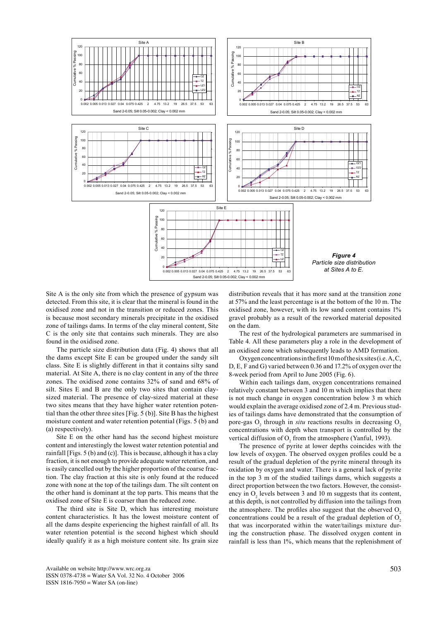

Site A is the only site from which the presence of gypsum was detected. From this site, it is clear that the mineral is found in the oxidised zone and not in the transition or reduced zones. This is because most secondary minerals precipitate in the oxidised zone of tailings dams. In terms of the clay mineral content, Site C is the only site that contains such minerals. They are also found in the oxidised zone.

 The particle size distribution data (Fig. 4) shows that all the dams except Site E can be grouped under the sandy silt class. Site E is slightly different in that it contains silty sand material. At Site A, there is no clay content in any of the three zones. The oxidised zone contains 32% of sand and 68% of silt. Sites E and B are the only two sites that contain claysized material. The presence of clay-sized material at these two sites means that they have higher water retention potential than the other three sites [Fig. 5 (b)]. Site B has the highest moisture content and water retention potential (Figs. 5 (b) and (a) respectively).

Site E on the other hand has the second highest moisture content and interestingly the lowest water retention potential and rainfall [Figs. 5 (b) and (c)]. This is because, although it has a clay fraction, it is not enough to provide adequate water retention, and is easily cancelled out by the higher proportion of the coarse fraction. The clay fraction at this site is only found at the reduced zone with none at the top of the tailings dam. The silt content on the other hand is dominant at the top parts. This means that the oxidised zone of Site E is coarser than the reduced zone.

 The third site is Site D, which has interesting moisture content characteristics. It has the lowest moisture content of all the dams despite experiencing the highest rainfall of all. Its water retention potential is the second highest which should ideally qualify it as a high moisture content site. Its grain size distribution reveals that it has more sand at the transition zone at 57% and the least percentage is at the bottom of the 10 m. The oxidised zone, however, with its low sand content contains 1% gravel probably as a result of the reworked material deposited on the dam.

 The rest of the hydrological parameters are summarised in Table 4. All these parameters play a role in the development of an oxidised zone which subsequently leads to AMD formation.

 Oxygen concentrations in the first 10 m of the six sites (i.e. A, C, D, E, F and G) varied between 0.36 and 17.2% of oxygen over the 8-week period from April to June 2005 (Fig. 6).

 Within each tailings dam, oxygen concentrations remained relatively constant between 3 and 10 m which implies that there is not much change in oxygen concentration below 3 m which would explain the average oxidised zone of 2.4 m. Previous studies of tailings dams have demonstrated that the consumption of pore-gas  $O_2$  through in *situ* reactions results in decreasing  $O_2$ concentrations with depth when transport is controlled by the vertical diffusion of  $O_2$  from the atmosphere (Yanful, 1993).

The presence of pyrite at lower depths coincides with the low levels of oxygen. The observed oxygen profiles could be a result of the gradual depletion of the pyrite mineral through its oxidation by oxygen and water. There is a general lack of pyrite in the top 3 m of the studied tailings dams, which suggests a direct proportion between the two factors. However, the consistency in  $O_2$  levels between 3 and 10 m suggests that its content, at this depth, is not controlled by diffusion into the tailings from the atmosphere. The profiles also suggest that the observed  $O<sub>2</sub>$ concentrations could be a result of the gradual depletion of  $O<sub>2</sub>$ that was incorporated within the water/tailings mixture during the construction phase. The dissolved oxygen content in rainfall is less than 1%, which means that the replenishment of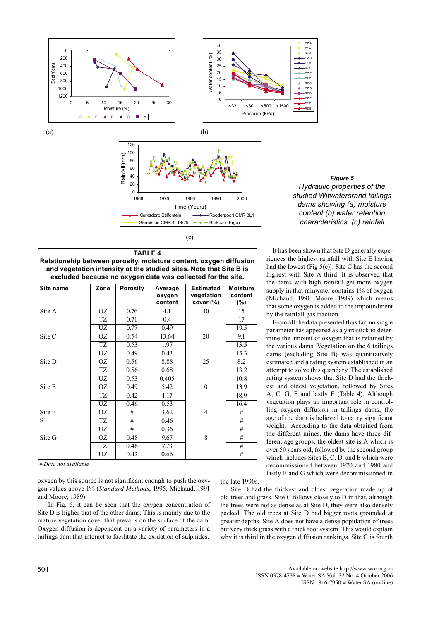

(a)





(c)

| <b>TABLE 4</b>                                                                                                                                                                                         |
|--------------------------------------------------------------------------------------------------------------------------------------------------------------------------------------------------------|
| Relationship between porosity, moisture content, oxygen diffusion<br>and vegetation intensity at the studied sites. Note that Site B is<br>excluded because no oxygen data was collected for the site. |

| Site name | Zone      | Porosity | Average<br>oxygen<br>content | <b>Estimated</b><br>vegetation<br>cover (%) | <b>Moisture</b><br>content<br>(%) |
|-----------|-----------|----------|------------------------------|---------------------------------------------|-----------------------------------|
| Site A    | OΖ        | 0.76     | 4.1                          | 10                                          | 15                                |
|           | TZ        | 0.71     | 0.4                          |                                             | 17                                |
|           | UZ        | 0.77     | 0.49                         |                                             | 19.5                              |
| Site C    | OΖ        | 0.54     | 13.64                        | 20                                          | 9.1                               |
|           | TZ        | 0.53     | 1.97                         |                                             | 13.5                              |
|           | UZ        | 0.49     | 0.43                         |                                             | 15.3                              |
| Site D    | OZ        | 0.56     | 8.88                         | 25                                          | 8.2                               |
|           | <b>TZ</b> | 0.56     | 0.68                         |                                             | 13.2                              |
|           | UZ        | 0.53     | 0.405                        |                                             | 10.8                              |
| Site E    | OΖ        | 0.49     | 5.42                         | $\mathbf{0}$                                | 13.9                              |
|           | TZ        | 0.42     | 1.17                         |                                             | 18.9                              |
|           | UZ        | 0.46     | 0.53                         |                                             | 16.4                              |
| Site F    | OZ.       | #        | 3.62                         | $\overline{4}$                              | #                                 |
| S         | TZ        | #        | 0.46                         |                                             | #                                 |
|           | UZ        | #        | 0.36                         |                                             | #                                 |
| Site G    | OZ        | 0.48     | 9.67                         | $\overline{8}$                              | #                                 |
|           | TZ        | 0.46     | 7.73                         |                                             | #                                 |
|           | UZ        | 0.42     | 0.66                         |                                             | #                                 |

*# Data not available*

oxygen by this source is not significant enough to push the oxygen values above 1% (*Standard Methods*, 1995; Michaud, 1991 and Moore, 1989).

In Fig. 6, it can be seen that the oxygen concentration of Site D is higher that of the other dams. This is mainly due to the mature vegetation cover that prevails on the surface of the dam. Oxygen diffusion is dependent on a variety of parameters in a tailings dam that interact to facilitate the oxidation of sulphides.



 It has been shown that Site D generally experiences the highest rainfall with Site E having had the lowest (Fig  $5(c)$ ). Site C has the second highest with Site A third. It is observed that the dams with high rainfall get more oxygen supply in that rainwater contains 1% of oxygen (Michaud, 1991: Moore, 1989) which means that some oxygen is added to the impoundment by the rainfall gas fraction.

 From all the data presented thus far, no single parameter has appeared as a yardstick to determine the amount of oxygen that is retained by the various dams. Vegetation on the 6 tailings dams (excluding Site B) was quantitatively estimated and a rating system established in an attempt to solve this quandary. The established rating system shows that Site D had the thickest and oldest vegetation, followed by Sites A, C, G, F and lastly E (Table 4). Although vegetation plays an important role in controlling oxygen diffusion in tailings dams, the age of the dam is believed to carry significant weight. According to the data obtained from the different mines, the dams have three different age groups, the oldest site is A which is over 50 years old, followed by the second group which includes Sites B, C, D, and E which were decommissioned between 1970 and 1980 and lastly F and G which were decommissioned in

the late 1990s.

 Site D had the thickest and oldest vegetation made up of old trees and grass. Site C follows closely to D in that, although the trees were not as dense as at Site D, they were also densely packed. The old trees at Site D had bigger roots grounded at greater depths. Site A does not have a dense population of trees but very thick grass with a thick root system. This would explain why it is third in the oxygen diffusion rankings. Site G is fourth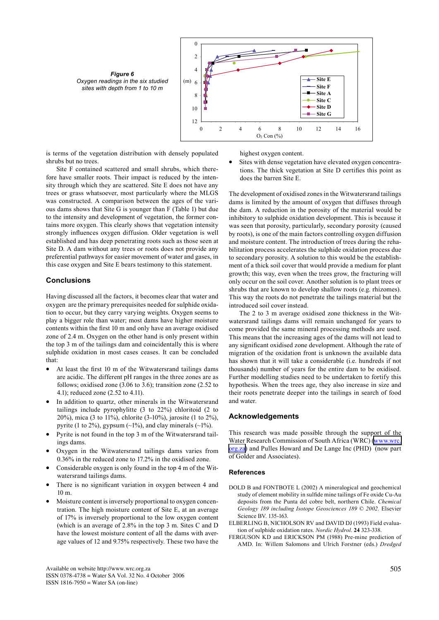

is terms of the vegetation distribution with densely populated shrubs but no trees.

 Site F contained scattered and small shrubs, which therefore have smaller roots. Their impact is reduced by the intensity through which they are scattered. Site E does not have any trees or grass whatsoever, most particularly where the MLGS was constructed. A comparison between the ages of the various dams shows that Site G is younger than F (Table 1) but due to the intensity and development of vegetation, the former contains more oxygen. This clearly shows that vegetation intensity strongly influences oxygen diffusion. Older vegetation is well established and has deep penetrating roots such as those seen at Site D. A dam without any trees or roots does not provide any preferential pathways for easier movement of water and gases, in this case oxygen and Site E bears testimony to this statement.

## **Conclusions**

Having discussed all the factors, it becomes clear that water and oxygen are the primary prerequisites needed for sulphide oxidation to occur, but they carry varying weights. Oxygen seems to play a bigger role than water; most dams have higher moisture contents within the first 10 m and only have an average oxidised zone of 2.4 m. Oxygen on the other hand is only present within the top 3 m of the tailings dam and coincidentally this is where sulphide oxidation in most cases ceases. It can be concluded that:

- At least the first 10 m of the Witwatersrand tailings dams are acidic. The different pH ranges in the three zones are as follows; oxidised zone (3.06 to 3.6); transition zone (2.52 to 4.1); reduced zone (2.52 to 4.11).
- In addition to quartz, other minerals in the Witwatersrand tailings include pyrophylitte (3 to 22%) chloritoid (2 to 20%), mica (3 to 11%), chlorite (3-10%), jarosite (1 to 2%), pyrite (1 to 2%), gypsum  $(\sim 1\%)$ , and clay minerals  $(\sim 1\%)$ .
- Pyrite is not found in the top 3 m of the Witwatersrand tailings dams.
- Oxygen in the Witwatersrand tailings dams varies from 0.36% in the reduced zone to 17.2% in the oxidised zone.
- Considerable oxygen is only found in the top 4 m of the Witwatersrand tailings dams.
- There is no significant variation in oxygen between 4 and 10 m.
- Moisture content is inversely proportional to oxygen concentration. The high moisture content of Site E, at an average of 17% is inversely proportional to the low oxygen content (which is an average of 2.8% in the top 3 m. Sites C and D have the lowest moisture content of all the dams with average values of 12 and 9.75% respectively. These two have the

highest oxygen content.

Sites with dense vegetation have elevated oxygen concentrations. The thick vegetation at Site D certifies this point as does the barren Site E.

The development of oxidised zones in the Witwatersrand tailings dams is limited by the amount of oxygen that diffuses through the dam. A reduction in the porosity of the material would be inhibitory to sulphide oxidation development. This is because it was seen that porosity, particularly, secondary porosity (caused by roots), is one of the main factors controlling oxygen diffusion and moisture content. The introduction of trees during the rehabilitation process accelerates the sulphide oxidation process due to secondary porosity. A solution to this would be the establishment of a thick soil cover that would provide a medium for plant growth; this way, even when the trees grow, the fracturing will only occur on the soil cover. Another solution is to plant trees or shrubs that are known to develop shallow roots (e.g. rhizomes). This way the roots do not penetrate the tailings material but the introduced soil cover instead.

 The 2 to 3 m average oxidised zone thickness in the Witwatersrand tailings dams will remain unchanged for years to come provided the same mineral processing methods are used. This means that the increasing ages of the dams will not lead to any significant oxidised zone development. Although the rate of migration of the oxidation front is unknown the available data has shown that it will take a considerable (i.e. hundreds if not thousands) number of years for the entire dam to be oxidised. Further modelling studies need to be undertaken to fortify this hypothesis. When the trees age, they also increase in size and their roots penetrate deeper into the tailings in search of food and water.

### **Acknowledgements**

This research was made possible through the support of the Water Research Commission of South Africa (WRC) [\(www.wrc.](www.wrc.org.za) [org.za\)](www.wrc.org.za) and Pulles Howard and De Lange Inc (PHD) (now part of Golder and Associates).

#### **References**

- DOLD B and FONTBOTE L (2002) A mineralogical and geochemical study of element mobility in sulfide mine tailings of Fe oxide Cu-Au deposits from the Punta del cobre belt, northern Chile. *Chemical Geology 189 including Isotope Geosciences 189* © *2002.* Elsevier Science BV. 135-163.
- ELBERLING B, NICHOLSON RV and DAVID DJ (1993) Field evaluation of sulphide oxidation rates. *Nordic Hydrol*. **24** 323-338.
- FERGUSON KD and ERICKSON PM (1988) Pre-mine prediction of AMD. In: Willem Salomons and Ulrich Forstner (eds.) *Dredged*